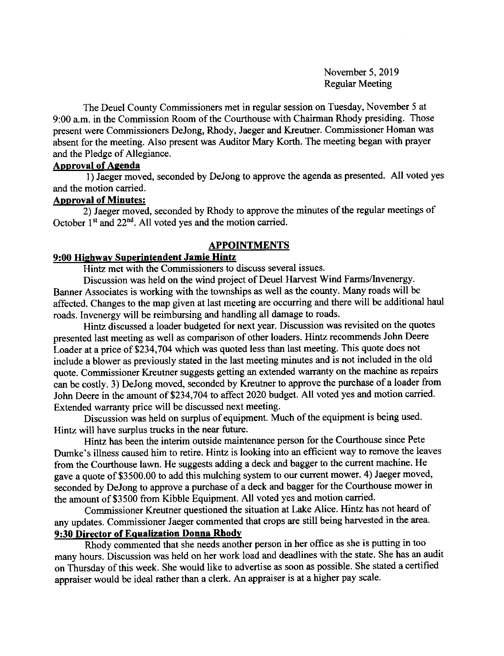November 5,2019 Regular Meeting

The Deuel County Commissioners met in regular session on Tuesday, November 5 at 9:00 a.m. in the Commission Room of the Courthouse with Chairman Rhody presiding. Those present were Commissioners DeJong, Rhody, Jaeger and Kreutner. Commissioner Homan was absent for the meeting. Also present was Auditor Mary Korth. The meeting began with prayer and the Pledge of Allegiance.

# Aoproval of Aqenda

1) Jaeger moved, seconded by DeJong to approve the agenda as presented. All voted yes and the motion carried.

#### **Approval of Minutes:**

2) Jaeger moved, seconded by Rhody to approve the minutes of the regular meetings of October  $1<sup>st</sup>$  and  $22<sup>nd</sup>$ . All voted yes and the motion carried.

#### APPOINTMENTS

#### 9:00 Hiehwav Superintendent Jamie Hintz

Hintz met with the Commissioners to discuss several issues.

Discussion was held on the wind project of Deuel Harvest Wind Farms/lnvenergy. Banner Associates is working with the townships as well as the county. Many roads will be affected. Changes to the map given at last meeting are occurring and there will be additional haul roads. Invenergy will be reimbursing and handling all damage to roads.

Hintz discussed a loader budgeted for next year. Discussion was revisited on the quotes presented last meeting as well as comparison of other loaders. Hintz recommends John Deere Loader at a price of \$234,704 which was quoted less than last meeting. This quote does not include a blower as previously stated in the last meeting minutes and is not included in the old quote. Commissioner Kreutner suggests getting an extended warranty on the machine as repairs can be costly. 3) DeJong moved, seconded by Kreutner to approve the purchase of a loader from John Deere in the amount of 5234,704 to affect 2020 budget. All voted yes and motion carried. Extended warranty price will be discussed next meeting.

Discussion was held on surplus of equipment. Much of the equipment is being used. Hintz will have surplus trucks in the near future.

Hintz has been the interim outside maintenance person for the Courthouse since Pete Dumke's illness caused him to retire. Hintz is looking into an efficient way to remove the leaves from the Courthouse lawn. He suggests adding a deck and bagger to the current machine. He gave a quote of \$3500.00 to add this mulching system to our current mower. 4) Jaeger moved, seconded by DeJong to approve a purchase of a deck and bagger for the Courthouse mower in the amount of \$3500 from Kibble Equipment. All voted yes and motion carried.

Commissioner Kreutner questioned the situation at Lake Alice. Hintz has not heard of any updates. Commissioner Jaeger commented that crops are still being harvested in the area.

9:30 Director of Equalization Donna Rhody<br>Rhody commented that she needs another person in her office as she is putting in too many hours. Discussion was held on her work load and deadlines with the state. She has an audit on Thursday of this week. She would like to advertise as soon as possible. She stated a certified appraiser would be ideal rather than a clerk. An appraiser is at a higher pay scale.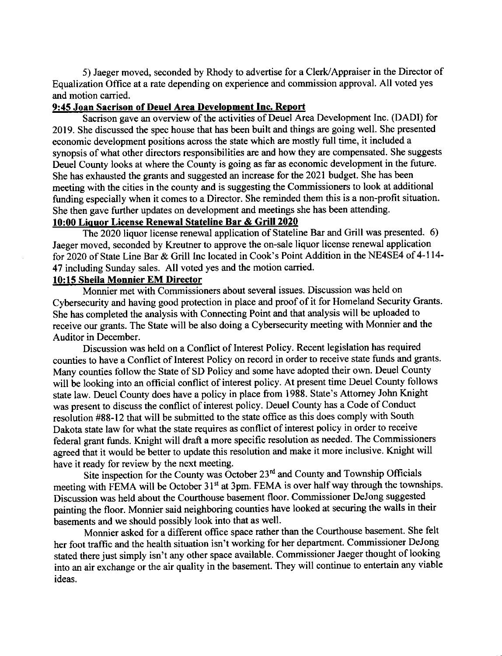5) Jaeger moved, seconded by Rhody to advertise for a Clerk/Appraiser in the Director of Equalization Office at a rate depending on experience and commission approval. All voted yes and motion carried.

### 9:45 Joan Sacrison of Deuel Area Development Inc. Report

Sacrison gave an overview of the activities of Deuel Area Development Inc. (DADI) for 2019. She discussed the spec house that has been built and things are going well. She presented economic development positions across the state which are mostly full time, it included a synopsis of what other directors responsibilities are and how they are compensated. She suggests Deuel County looks at where the County is going as far as economic development in the future. She has exhausted the grants and suggested an increase for the 2021 budget. She has been meeting with the cities in the county and is suggesting the Commissioners to look at additional funding especially when it comes to a Director. She reminded them this is a non-profit situation. She then gave further updates on development and meetings she has been attending.

# <sup>10100</sup>Liquor License Renewal Stateline Bar & Grill 2020

The 2020 liquor license renewal application of Stateline Bar and Grill was presented. 6) Jaeger moved, seconded by Kreutner to approve the on-sale liquor license renewal application for 2020 of State Line Bar & Grill lnc located in Cook's Point Addition in the NE4SE4 of 4-1 14- 47 including Sunday sales. All voted yes and the motion carried.

### 10:15 Sheila Monnier EM Director

Monnier met with Commissioners about several issues. Discussion was held on Cybersecurity and having good protection in place and proof of it for Homeland Security Grants. She has completed the analysis with Connecting Point and that analysis will be uploaded to receive our grants. The State will be also doing a Cybersecurity meeting with Monnier and the Auditor in December.

Discussion was held on a Conflict of Interest Policy. Recent legislation has required counties to have a Conflict of Interest Policy on record in order to receive state funds and grants. Many counties follow the State of SD Policy and some have adopted their own. Deuel County will be looking into an official conflict of interest policy. At present time Deuel County follows state law. Deuel County does have a policy in place from 1988. State's Attomey John Knight was present to discuss the conflict of interest policy. Deuel County has a Code of Conduct resolution #88-12 that will be submitted to the state office as this does comply with South Dakota state law for what the state requires as conflict of interest policy in order to receive federal grant funds. Knight will draft a more specific resolution as needed. The Commissioners agreed that it would be better to update this resolution and make it more inclusive. Knight will have it ready for review by the next meeting.

Site inspection for the County was October 23<sup>rd</sup> and County and Township Officials meeting with FEMA will be October 31<sup>st</sup> at 3pm. FEMA is over half way through the townships. Discussion was held about the Courthouse basement floor. Commissioner DeJong suggested painting the floor. Monnier said neighboring counties have looked at securing the walls in their basements and we should possibly look into that as well.

Monnier asked for a different office space rather than the Courthouse basement. She felt her foot traffic and the health situation isn't working for her department. Commissioner DeJong stated there just simply isn't any other space available. Commissioner Jaeger thought of looking into an air exchange or the air quality in the basement. They will continue to entertain any viable ideas.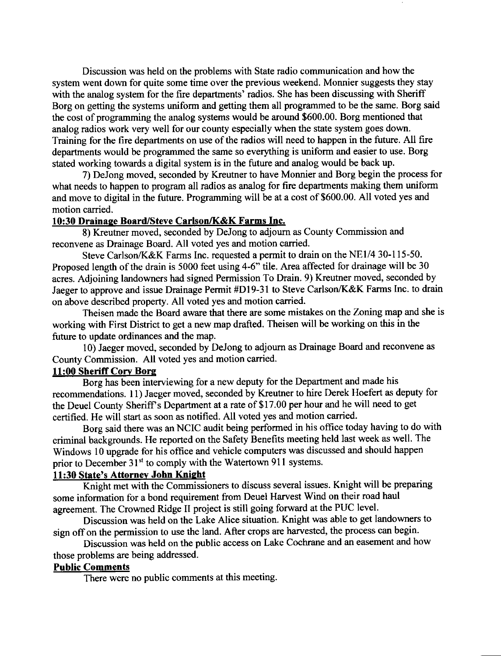Discussion was held on the problems with State radio communication and how the system went down for quite some time over the previous weekend. Monnier suggests they stay with the analog system for the fire departments' radios. She has been discussing with Sheriff Borg on getting the systems uniform and getting them all programmed to be the same. Borg said the cost of programming the analog systems would be around \$600.00. Borg mentioned that analog radios work very well for our county especially when the state system goes down. Training for the fire departments on use of the radios will need to happen in the futue. All fire departments would be programmed the same so everything is uniform and easier to use. Borg stated working towards a digital system is in the futwe and analog would be back up.

7) DeJong moved, seconded by Kreutner to have Monnier and Borg begin the process for what needs to happen to program all radios as analog for fire departrnents making them uniform and move to digital in the future. Programming will be at a cost of \$600.00. All voted yes and motion carried.

### 10:30 Drainaqe Board/Steve Carlson/K&K Farms Inc.

8) Kreutner moved, seconded by DeJong to adjoum as County Commission and reconvene as Drainage Board. All voted yes and motion carried.

Steve Carlson/K&K Farms Inc. requested a permit to drain on the NEI/4 30-1 15-50. Proposed length of the drain is 5000 feet using 4-6" tile. Area affected for drainage will be 30 acres. Adjoining landowners had signed Permission To Drain. 9) Kreutner moved, seconded by Jaeger to approve and issue Drainage Permit #Dl9-31 to Steve Carlson/K&K Farms Inc. to drain on above described property. All voted yes and motion carried.

Theisen made the Board aware that there are some mistakes on the Zoning map and she is working with First District to get a new map drafted. Theisen will be working on this in the future to update ordinances and the map.

l0) Jaeger moved, seconded by DeJong to adjoum as Drainage Board and reconvene as County Commission. All voted yes and motion carried.

#### 11:00 Sheriff Corv Bore

Borg has been interviewing for a new deputy for the Departrnent and made his recommendations. 11) Jaeger moved, seconded by Kreutner to hire Derek Hoefert as deputy for the Deuel County Sheriff's Department at a rate of \$17.00 per hour and he will need to get certified. He will start as soon as notified. All voted yes and motion carried.

Borg said there was an NCIC audit being performed in his offrce today having to do with criminal backgrounds. He reported on the Safety Benefits meeting held last week as well. The Windows 10 upgrade for his office and vehicle computers was discussed and should happen prior to December 31<sup>st</sup> to comply with the Watertown 911 systems.

# 11:30 State's Attorney John Knight

Knight met with the Commissioners to discuss several issues. Knight will be preparing some information for a bond requirement from Deuel Harvest Wind on their road haul agreement. The Crowned Ridge II project is still going forward at the PUC level.

Discussion was held on the Lake Alice situation. Knight was able to get landowners to sign off on the permission to use the land. After crops are harvested, the process can begin.

Discussion was held on the public access on Lake Cochrane and an easement and how those problems are being addressed.

### Public Comments

There were no public comments at this meeting.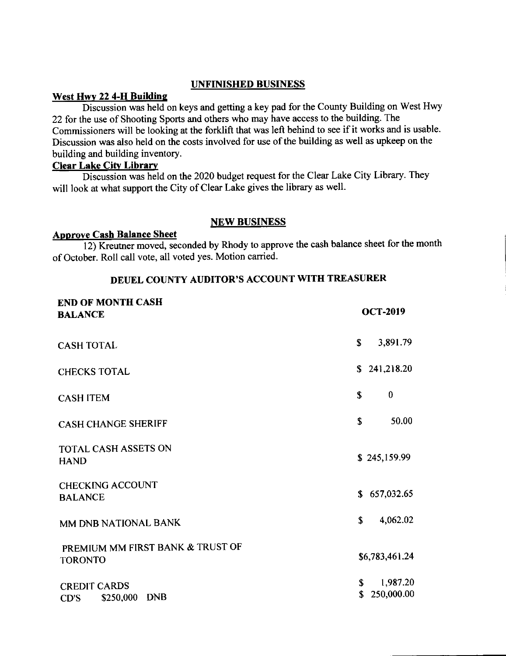### UNFINISHED BUSINESS

### West Hwy 22 4-H Building

Discussion was held on keys and getting a key pad for the County Building on West Hwy 22 fot the use of Shooting Sports and others who may have access to the building. The Commissioners will be looking at the forklift that was left behind to see if it works and is usable. Discussion was also held on the costs involved for use of the building as well as upkeep on the building and building inventory.

### **Clear Lake City Library**

Discussion was held on the 2020 budget request for the Clear Lake City Library. They will look at what support the City of Clear Lake gives the library as well.

### NEW BUSINESS

### Approve Cash Balance Sheet

12) Kreutner moved, seconded by Rhody to approve the cash balance sheet for the month of October. Roll call vote, all voted yes. Motion carried.

# DEUEL COUNTY AUDITOR'S ACCOUNT WITH TREASURER

| <b>END OF MONTH CASH</b><br><b>BALANCE</b>         |              | <b>OCT-2019</b>        |
|----------------------------------------------------|--------------|------------------------|
| <b>CASH TOTAL</b>                                  | $\mathbf{s}$ | 3,891.79               |
| <b>CHECKS TOTAL</b>                                |              | \$241,218.20           |
| <b>CASH ITEM</b>                                   | $\mathbf S$  | $\bf{0}$               |
| <b>CASH CHANGE SHERIFF</b>                         | \$           | 50.00                  |
| TOTAL CASH ASSETS ON<br><b>HAND</b>                |              | \$245,159.99           |
| <b>CHECKING ACCOUNT</b><br><b>BALANCE</b>          |              | \$657,032.65           |
| MM DNB NATIONAL BANK                               | S            | 4,062.02               |
| PREMIUM MM FIRST BANK & TRUST OF<br><b>TORONTO</b> |              | \$6,783,461.24         |
| <b>CREDIT CARDS</b><br>DNB<br>\$250,000<br>CD'S    | S.<br>\$     | 1,987.20<br>250,000.00 |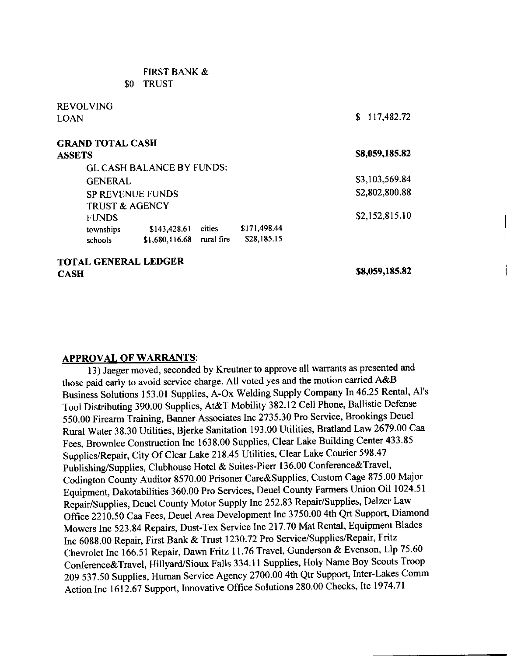| \$0                         | <b>TRUST</b>                     |        |              |                  |
|-----------------------------|----------------------------------|--------|--------------|------------------|
| REVOLVING                   |                                  |        |              |                  |
| LOAN                        |                                  |        |              | 117,482.72<br>S. |
| GRAND TOTAL CASH            |                                  |        |              |                  |
| ASSETS                      |                                  |        |              | \$8,059,185.82   |
|                             | <b>GL CASH BALANCE BY FUNDS:</b> |        |              |                  |
| <b>GENERAL</b>              |                                  |        |              | \$3,103,569.84   |
|                             | <b>SP REVENUE FUNDS</b>          |        |              | \$2,802,800.88   |
| <b>TRUST &amp; AGENCY</b>   |                                  |        |              |                  |
| <b>FUNDS</b>                |                                  |        |              | \$2,152,815.10   |
| townships                   | \$143,428.61                     | cities | \$171,498.44 |                  |
| schools                     | \$1,680,116.68 rural fire        |        | \$28,185.15  |                  |
| <b>TOTAL GENERAL LEDGER</b> |                                  |        |              | \$8,059,185.82   |
| С∧€Н                        |                                  |        |              |                  |

FIRST BANK &

**CASH** 

### APPROVAL OF WARRANTS:

13) Jaeger moved, seconded by Kreutner to approve all warrants as presented and those paid early to avoid service charge. All voted yes and the motion carried A&B Business solutions 153.01 Supplies, A-ox welding supply company [n46.25 Rental, Al's Tool Distributing 390.00 Supplies, At&T Mobility 382.12 cell Phone, Ballistic Defense 550.00 Firearm Training, Banner Associates Inc 2735.30 Pro Service, Brookings Deuel Rural Water 38.30 Utilities, Bjerke Sanitation 193.00 Utilities, Bratland Law 2679.00 Caa Fees, Brownlee Construction Inc 1638.00 Supplies, Clear Lake Building Center 433.85 Supplies/Repair, City Of Clear Lake 218.45 Utilities, Clear Lake Courier 598.47 Publishing/Supplies, Clubhouse Hotel & Suites-Pierr 136.00 Conference&Travel, codington county Ruditor s570.00 Prisoner care&Supplies, custom cage 875.00 Major Equipment, Dakotabilities 360.00 Pro Services, Deuel County Farmers Union Oil 1024.51 Repair/supplies, Deuel county Motor Supply lnc 252.83 Repair/Supplies, Delzer Law Office 2210.50 Caa Fees, Deuel Area Development Inc 3750.00 4th Qrt Support, Diamond Mowers Inc 523.84 Repairs, Dust-Tex Service Inc 217.70 Mat Rental, Equipment Blades Inc 6088.00 Repair, First Bank & Trust 1230.72 Pro Service/Supplies/Repair, Fritz Chevrolet Inc 166.51 Repair, Dawn Fritz 11.76 Travel, Gunderson & Evenson, Llp 75.60 conference&Travel, Hillyard/Sioux Falls 334.1 I Supplies, Holy Name Boy Scouts Troop 20g 537.50 Supplies, Human Service Agency 2700.00 4th Qtr Support, Inter-Lakes comm Action Inc 1612.67 Support, Innovative office Solutions 280.00 checks, Itc 1974.71